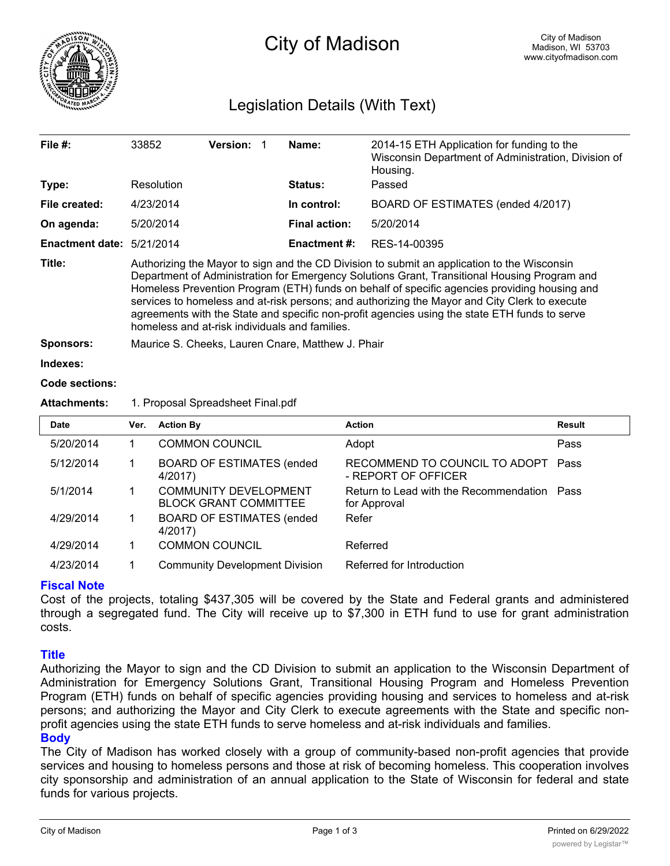

# City of Madison

# Legislation Details (With Text)

| File $#$ :             | 33852                                                                                                                                                                                                                                                                                                                                                                                                                                                                                                                                           | <b>Version:</b> |  | Name:                | 2014-15 ETH Application for funding to the<br>Wisconsin Department of Administration, Division of<br>Housing. |  |
|------------------------|-------------------------------------------------------------------------------------------------------------------------------------------------------------------------------------------------------------------------------------------------------------------------------------------------------------------------------------------------------------------------------------------------------------------------------------------------------------------------------------------------------------------------------------------------|-----------------|--|----------------------|---------------------------------------------------------------------------------------------------------------|--|
| Type:                  | Resolution                                                                                                                                                                                                                                                                                                                                                                                                                                                                                                                                      |                 |  | Status:              | Passed                                                                                                        |  |
| File created:          | 4/23/2014                                                                                                                                                                                                                                                                                                                                                                                                                                                                                                                                       |                 |  | In control:          | BOARD OF ESTIMATES (ended 4/2017)                                                                             |  |
| On agenda:             | 5/20/2014                                                                                                                                                                                                                                                                                                                                                                                                                                                                                                                                       |                 |  | <b>Final action:</b> | 5/20/2014                                                                                                     |  |
| <b>Enactment date:</b> | 5/21/2014                                                                                                                                                                                                                                                                                                                                                                                                                                                                                                                                       |                 |  | <b>Enactment #:</b>  | RES-14-00395                                                                                                  |  |
| Title:                 | Authorizing the Mayor to sign and the CD Division to submit an application to the Wisconsin<br>Department of Administration for Emergency Solutions Grant, Transitional Housing Program and<br>Homeless Prevention Program (ETH) funds on behalf of specific agencies providing housing and<br>services to homeless and at-risk persons; and authorizing the Mayor and City Clerk to execute<br>agreements with the State and specific non-profit agencies using the state ETH funds to serve<br>homeless and at-risk individuals and families. |                 |  |                      |                                                                                                               |  |
| <b>Sponsors:</b>       | Maurice S. Cheeks, Lauren Cnare, Matthew J. Phair                                                                                                                                                                                                                                                                                                                                                                                                                                                                                               |                 |  |                      |                                                                                                               |  |
| Indexes:               |                                                                                                                                                                                                                                                                                                                                                                                                                                                                                                                                                 |                 |  |                      |                                                                                                               |  |
| Code sections:         |                                                                                                                                                                                                                                                                                                                                                                                                                                                                                                                                                 |                 |  |                      |                                                                                                               |  |

## **Attachments:** 1. Proposal Spreadsheet Final.pdf

| <b>Date</b> | Ver. | <b>Action By</b>                                             | <b>Action</b>                                               | Result |
|-------------|------|--------------------------------------------------------------|-------------------------------------------------------------|--------|
| 5/20/2014   |      | <b>COMMON COUNCIL</b>                                        | Adopt                                                       | Pass   |
| 5/12/2014   |      | <b>BOARD OF ESTIMATES (ended)</b><br>4/2017)                 | RECOMMEND TO COUNCIL TO ADOPT Pass<br>- REPORT OF OFFICER   |        |
| 5/1/2014    |      | <b>COMMUNITY DEVELOPMENT</b><br><b>BLOCK GRANT COMMITTEE</b> | Return to Lead with the Recommendation Pass<br>for Approval |        |
| 4/29/2014   |      | <b>BOARD OF ESTIMATES (ended)</b><br>4/2017)                 | Refer                                                       |        |
| 4/29/2014   |      | <b>COMMON COUNCIL</b>                                        | Referred                                                    |        |
| 4/23/2014   |      | <b>Community Development Division</b>                        | Referred for Introduction                                   |        |

### **Fiscal Note**

Cost of the projects, totaling \$437,305 will be covered by the State and Federal grants and administered through a segregated fund. The City will receive up to \$7,300 in ETH fund to use for grant administration costs.

### **Title**

Authorizing the Mayor to sign and the CD Division to submit an application to the Wisconsin Department of Administration for Emergency Solutions Grant, Transitional Housing Program and Homeless Prevention Program (ETH) funds on behalf of specific agencies providing housing and services to homeless and at-risk persons; and authorizing the Mayor and City Clerk to execute agreements with the State and specific nonprofit agencies using the state ETH funds to serve homeless and at-risk individuals and families. **Body**

The City of Madison has worked closely with a group of community-based non-profit agencies that provide services and housing to homeless persons and those at risk of becoming homeless. This cooperation involves city sponsorship and administration of an annual application to the State of Wisconsin for federal and state funds for various projects.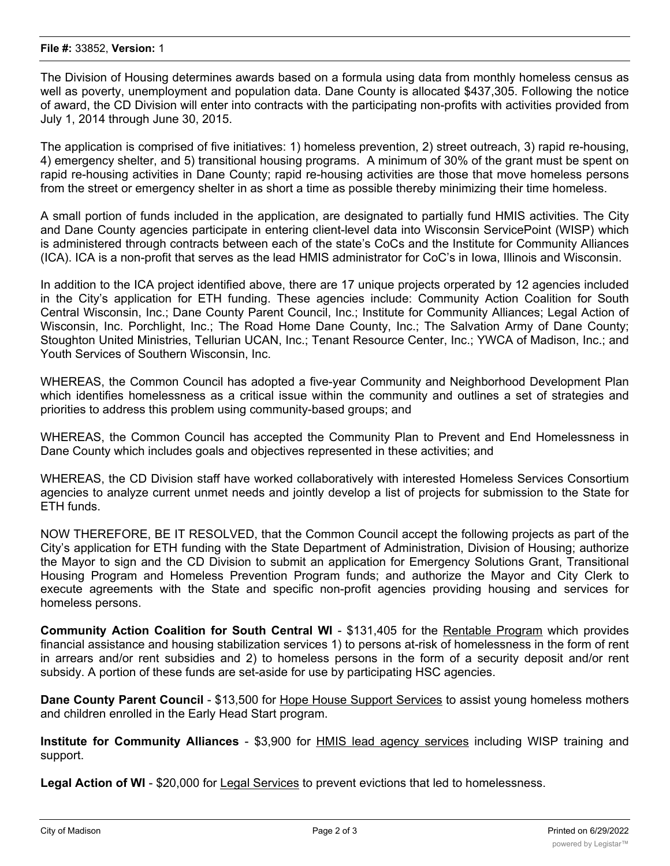The Division of Housing determines awards based on a formula using data from monthly homeless census as well as poverty, unemployment and population data. Dane County is allocated \$437,305. Following the notice of award, the CD Division will enter into contracts with the participating non-profits with activities provided from July 1, 2014 through June 30, 2015.

The application is comprised of five initiatives: 1) homeless prevention, 2) street outreach, 3) rapid re-housing, 4) emergency shelter, and 5) transitional housing programs. A minimum of 30% of the grant must be spent on rapid re-housing activities in Dane County; rapid re-housing activities are those that move homeless persons from the street or emergency shelter in as short a time as possible thereby minimizing their time homeless.

A small portion of funds included in the application, are designated to partially fund HMIS activities. The City and Dane County agencies participate in entering client-level data into Wisconsin ServicePoint (WISP) which is administered through contracts between each of the state's CoCs and the Institute for Community Alliances (ICA). ICA is a non-profit that serves as the lead HMIS administrator for CoC's in Iowa, Illinois and Wisconsin.

In addition to the ICA project identified above, there are 17 unique projects orperated by 12 agencies included in the City's application for ETH funding. These agencies include: Community Action Coalition for South Central Wisconsin, Inc.; Dane County Parent Council, Inc.; Institute for Community Alliances; Legal Action of Wisconsin, Inc. Porchlight, Inc.; The Road Home Dane County, Inc.; The Salvation Army of Dane County; Stoughton United Ministries, Tellurian UCAN, Inc.; Tenant Resource Center, Inc.; YWCA of Madison, Inc.; and Youth Services of Southern Wisconsin, Inc.

WHEREAS, the Common Council has adopted a five-year Community and Neighborhood Development Plan which identifies homelessness as a critical issue within the community and outlines a set of strategies and priorities to address this problem using community-based groups; and

WHEREAS, the Common Council has accepted the Community Plan to Prevent and End Homelessness in Dane County which includes goals and objectives represented in these activities; and

WHEREAS, the CD Division staff have worked collaboratively with interested Homeless Services Consortium agencies to analyze current unmet needs and jointly develop a list of projects for submission to the State for ETH funds.

NOW THEREFORE, BE IT RESOLVED, that the Common Council accept the following projects as part of the City's application for ETH funding with the State Department of Administration, Division of Housing; authorize the Mayor to sign and the CD Division to submit an application for Emergency Solutions Grant, Transitional Housing Program and Homeless Prevention Program funds; and authorize the Mayor and City Clerk to execute agreements with the State and specific non-profit agencies providing housing and services for homeless persons.

**Community Action Coalition for South Central WI** - \$131,405 for the Rentable Program which provides financial assistance and housing stabilization services 1) to persons at-risk of homelessness in the form of rent in arrears and/or rent subsidies and 2) to homeless persons in the form of a security deposit and/or rent subsidy. A portion of these funds are set-aside for use by participating HSC agencies.

**Dane County Parent Council** - \$13,500 for Hope House Support Services to assist young homeless mothers and children enrolled in the Early Head Start program.

**Institute for Community Alliances** - \$3,900 for HMIS lead agency services including WISP training and support.

**Legal Action of WI** - \$20,000 for Legal Services to prevent evictions that led to homelessness.